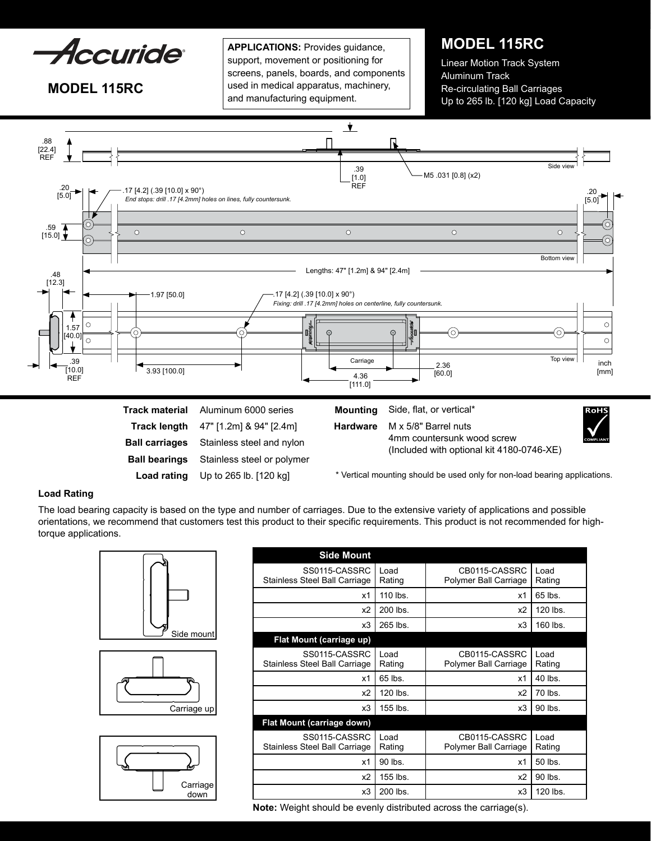

**MODEL 115RC**

**APPLICATIONS:** Provides guidance, support, movement or positioning for screens, panels, boards, and components used in medical apparatus, machinery, and manufacturing equipment.

# **MODEL 115RC**

Linear Motion Track System Aluminum Track Re-circulating Ball Carriages Up to 265 lb. [120 kg] Load Capacity



\* Vertical mounting should be used only for non-load bearing applications.

# **Load Rating**

The load bearing capacity is based on the type and number of carriages. Due to the extensive variety of applications and possible orientations, we recommend that customers test this product to their specific requirements. This product is not recommended for hightorque applications.

![](_page_0_Picture_9.jpeg)

**Load rating**

Up to 265 lb. [120 kg]

![](_page_0_Figure_10.jpeg)

![](_page_0_Figure_11.jpeg)

| <b>Side Mount</b>                              |                |                                        |                |
|------------------------------------------------|----------------|----------------------------------------|----------------|
| SS0115-CASSRC<br>Stainless Steel Ball Carriage | Load<br>Rating | CB0115-CASSRC<br>Polymer Ball Carriage | Load<br>Rating |
| x1                                             | 110 lbs.       | x1                                     | 65 lbs.        |
| x <sub>2</sub>                                 | 200 lbs.       | x2                                     | $120$ lbs.     |
| x3                                             | 265 lbs.       | x3                                     | 160 lbs.       |
| Flat Mount (carriage up)                       |                |                                        |                |
| SS0115-CASSRC<br>Stainless Steel Ball Carriage | Load<br>Rating | CB0115-CASSRC<br>Polymer Ball Carriage | Load<br>Rating |
| x1                                             | 65 lbs.        | x1                                     | 40 lbs.        |
| x <sub>2</sub>                                 | $120$ lbs.     | x2                                     | 70 lbs.        |
| x3                                             | 155 lbs.       | x3                                     | 90 lbs.        |
| Flat Mount (carriage down)                     |                |                                        |                |
| SS0115-CASSRC<br>Stainless Steel Ball Carriage | Load<br>Rating | CB0115-CASSRC<br>Polymer Ball Carriage | Load<br>Rating |
| x1                                             | 90 lbs.        | x1                                     | 50 lbs.        |
| x <sub>2</sub>                                 | 155 lbs.       | x2                                     | 90 lbs.        |
| x3                                             | 200 lbs.       | x3                                     | 120 lbs.       |

**Note:** Weight should be evenly distributed across the carriage(s).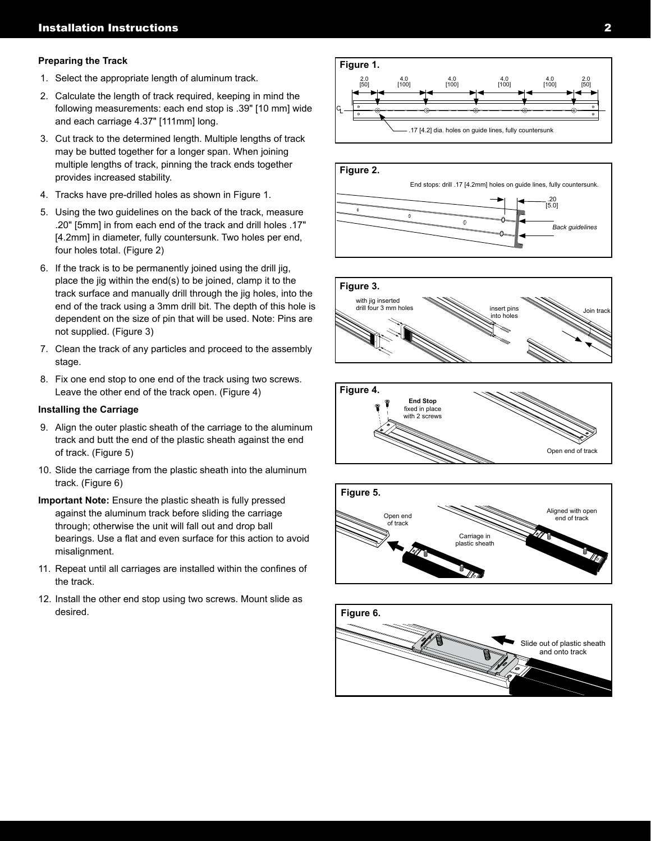## **Preparing the Track**

- 1. Select the appropriate length of aluminum track.
- 2. Calculate the length of track required, keeping in mind the following measurements: each end stop is .39" [10 mm] wide and each carriage 4.37" [111mm] long.
- 3. Cut track to the determined length. Multiple lengths of track may be butted together for a longer span. When joining multiple lengths of track, pinning the track ends together provides increased stability.
- 4. Tracks have pre-drilled holes as shown in Figure 1.
- 5. Using the two guidelines on the back of the track, measure .20" [5mm] in from each end of the track and drill holes .17" [4.2mm] in diameter, fully countersunk. Two holes per end, four holes total. (Figure 2)
- 6. If the track is to be permanently joined using the drill jig, place the jig within the end(s) to be joined, clamp it to the track surface and manually drill through the jig holes, into the end of the track using a 3mm drill bit. The depth of this hole is dependent on the size of pin that will be used. Note: Pins are not supplied. (Figure 3)
- 7. Clean the track of any particles and proceed to the assembly stage.
- 8. Fix one end stop to one end of the track using two screws. Leave the other end of the track open. (Figure 4)

### **Installing the Carriage**

- 9. Align the outer plastic sheath of the carriage to the aluminum track and butt the end of the plastic sheath against the end of track. (Figure 5)
- 10. Slide the carriage from the plastic sheath into the aluminum track. (Figure 6)
- **Important Note:** Ensure the plastic sheath is fully pressed against the aluminum track before sliding the carriage through; otherwise the unit will fall out and drop ball bearings. Use a flat and even surface for this action to avoid misalignment.
- 11. Repeat until all carriages are installed within the confines of the track.
- 12. Install the other end stop using two screws. Mount slide as desired.

![](_page_1_Figure_16.jpeg)

![](_page_1_Figure_17.jpeg)

![](_page_1_Figure_18.jpeg)

![](_page_1_Figure_19.jpeg)

![](_page_1_Figure_20.jpeg)

![](_page_1_Figure_21.jpeg)